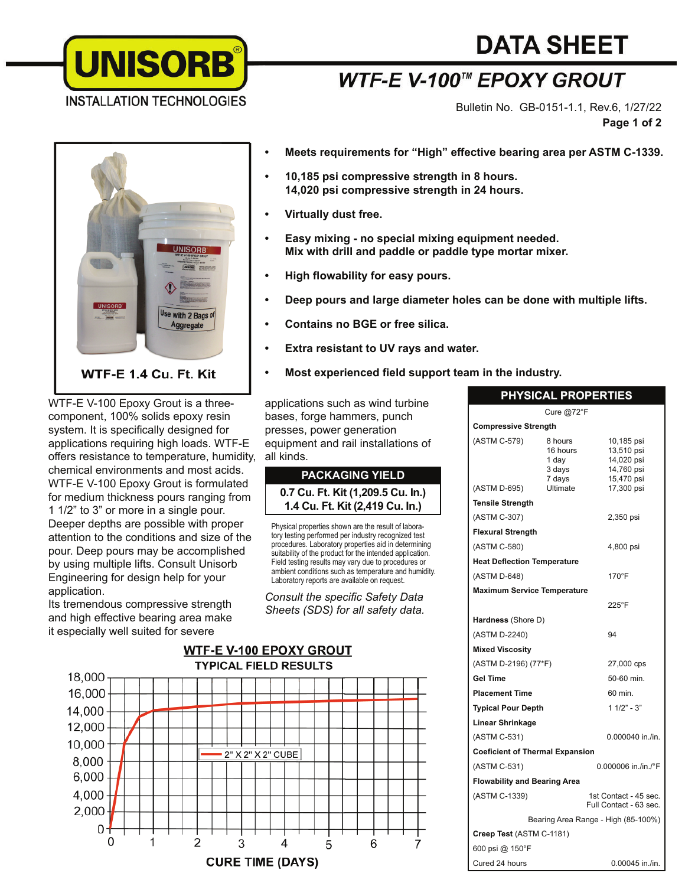

# **DATA SHEET**

## **WTF-E V-100™ EPOXY GROUT**

Bulletin No. GB-0151-1.1, Rev.6, 1/27/22 **Page 1 of 2**



WTF-E V-100 Epoxy Grout is a threecomponent, 100% solids epoxy resin system. It is specifically designed for applications requiring high loads. WTF-E offers resistance to temperature, humidity, chemical environments and most acids. WTF-E V-100 Epoxy Grout is formulated for medium thickness pours ranging from 1 1/2" to 3" or more in a single pour. Deeper depths are possible with proper attention to the conditions and size of the pour. Deep pours may be accomplished by using multiple lifts. Consult Unisorb Engineering for design help for your application.

Its tremendous compressive strength and high effective bearing area make it especially well suited for severe

- **Meets requirements for "High" eff ective bearing area per ASTM C-1339.**
- **10,185 psi compressive strength in 8 hours. 14,020 psi compressive strength in 24 hours.**
- **Virtually dust free.**
- **Easy mixing no special mixing equipment needed. Mix with drill and paddle or paddle type mortar mixer.**
- **High flowability for easy pours.**
- **Deep pours and large diameter holes can be done with multiple lifts.**
- **Contains no BGE or free silica.**
- **Extra resistant to UV rays and water.**
- Most experienced field support team in the industry.

applications such as wind turbine bases, forge hammers, punch presses, power generation equipment and rail installations of all kinds.

#### **PACKAGING YIELD 0.7 Cu. Ft. Kit (1,209.5 Cu. In.) 1.4 Cu. Ft. Kit (2,419 Cu. In.)**

Physical properties shown are the result of laboratory testing performed per industry recognized test procedures. Laboratory properties aid in determining suitability of the product for the intended application. Field testing results may vary due to procedures or ambient conditions such as temperature and humidity. Laboratory reports are available on request.

*Consult the specific Safety Data Sheets (SDS) for all safety data.*



| <b>PHYSICAL PROPERTIES</b> |  |
|----------------------------|--|

|                                        | Cure @72°F                                       |                                                                    |  |  |
|----------------------------------------|--------------------------------------------------|--------------------------------------------------------------------|--|--|
| <b>Compressive Strength</b>            |                                                  |                                                                    |  |  |
| (ASTM C-579)                           | 8 hours<br>16 hours<br>1 day<br>3 days<br>7 days | 10,185 psi<br>13,510 psi<br>14,020 psi<br>14,760 psi<br>15,470 psi |  |  |
| (ASTM D-695)                           | Ultimate                                         | 17,300 psi                                                         |  |  |
| <b>Tensile Strength</b>                |                                                  |                                                                    |  |  |
| (ASTM C-307)                           |                                                  | 2,350 psi                                                          |  |  |
| <b>Flexural Strength</b>               |                                                  |                                                                    |  |  |
| (ASTM C-580)                           |                                                  | 4,800 psi                                                          |  |  |
| <b>Heat Deflection Temperature</b>     |                                                  |                                                                    |  |  |
| (ASTM D-648)                           |                                                  | $170^\circ F$                                                      |  |  |
| <b>Maximum Service Temperature</b>     |                                                  |                                                                    |  |  |
|                                        |                                                  | 225°F                                                              |  |  |
| Hardness (Shore D)                     |                                                  |                                                                    |  |  |
| (ASTM D-2240)                          |                                                  | 94                                                                 |  |  |
| <b>Mixed Viscosity</b>                 |                                                  |                                                                    |  |  |
| (ASTM D-2196) (77*F)                   |                                                  | 27,000 cps                                                         |  |  |
| <b>Gel Time</b>                        |                                                  | 50-60 min.                                                         |  |  |
| <b>Placement Time</b>                  |                                                  | 60 min.                                                            |  |  |
| <b>Typical Pour Depth</b>              |                                                  | $11/2" - 3"$                                                       |  |  |
| <b>Linear Shrinkage</b>                |                                                  |                                                                    |  |  |
| (ASTM C-531)                           |                                                  | 0.000040 in./in.                                                   |  |  |
| <b>Coeficient of Thermal Expansion</b> |                                                  |                                                                    |  |  |
| (ASTM C-531)                           |                                                  | 0.000006 in./in./°F                                                |  |  |
| <b>Flowability and Bearing Area</b>    |                                                  |                                                                    |  |  |
| (ASTM C-1339)                          |                                                  | 1st Contact - 45 sec.<br>Full Contact - 63 sec.                    |  |  |
| Bearing Area Range - High (85-100%)    |                                                  |                                                                    |  |  |
| Creep Test (ASTM C-1181)               |                                                  |                                                                    |  |  |
| 600 psi @ 150°F                        |                                                  |                                                                    |  |  |
| Cured 24 hours                         |                                                  | 0.00045 in./in.                                                    |  |  |